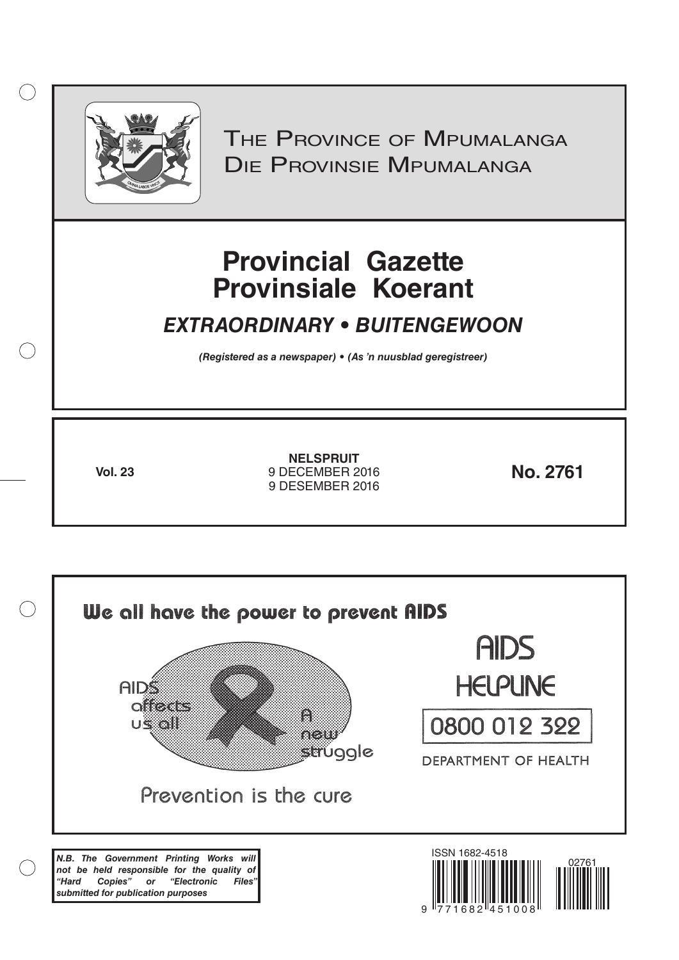

 $( )$ 

THE PROVINCE OF MPUMALANGA Die Provinsie Mpumalanga

# **Provincial Gazette Provinsiale Koerant**

# *EXTRAORDINARY • BUITENGEWOON*

*(Registered as a newspaper) • (As 'n nuusblad geregistreer)*

**Vol. 23 No. 2761** 9 DECEMBER 2016 **NELSPRUIT** 9 DESEMBER 2016

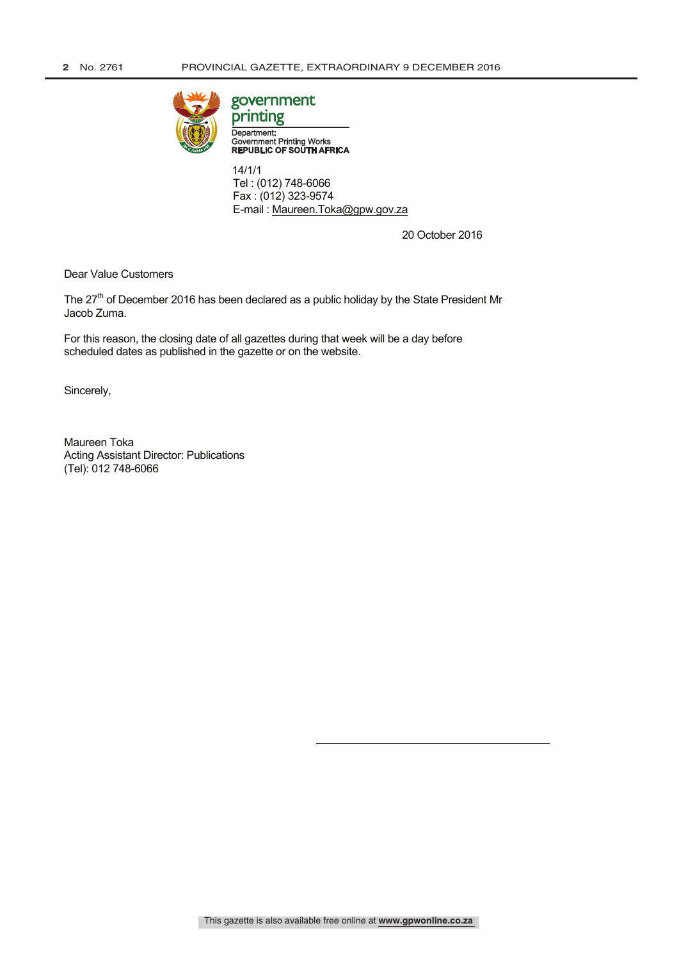

# government

Department: Government Printing Works<br>REPUBLIC OF SOUTH AFRICA

 14/1/1 Tel : (012) 748-6066 Fax : (012) 323-9574 E-mail : Maureen.Toka@gpw.gov.za

20 October 2016

Dear Value Customers

The 27<sup>th</sup> of December 2016 has been declared as a public holiday by the State President Mr Jacob Zuma.

For this reason, the closing date of all gazettes during that week will be a day before scheduled dates as published in the gazette or on the website.

Sincerely,

Maureen Toka Acting Assistant Director: Publications (Tel): 012 748-6066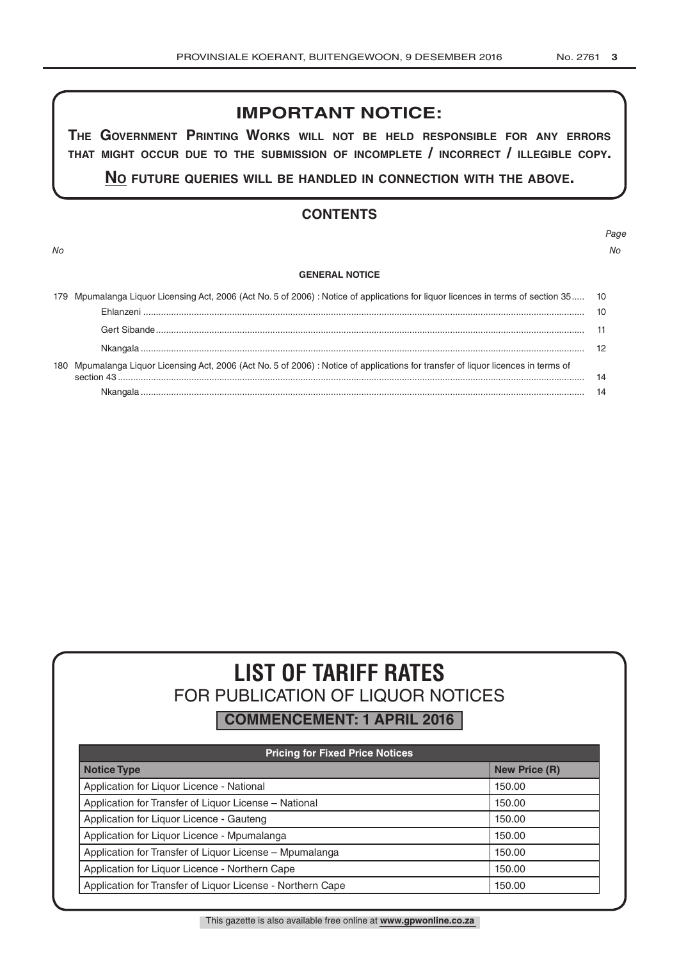# **IMPORTANT NOTICE:**

**The GovernmenT PrinTinG Works Will noT be held resPonsible for any errors ThaT miGhT occur due To The submission of incomPleTe / incorrecT / illeGible coPy.**

**no fuTure queries Will be handled in connecTion WiTh The above.**

# **CONTENTS**

*No No*

# *Page*

#### **GENERAL NOTICE**

| 179 Mpumalanga Liquor Licensing Act, 2006 (Act No. 5 of 2006) : Notice of applications for liquor licences in terms of section 35 10 |    |
|--------------------------------------------------------------------------------------------------------------------------------------|----|
|                                                                                                                                      | 10 |
|                                                                                                                                      |    |
|                                                                                                                                      | 12 |
| 180 Mpumalanga Liquor Licensing Act, 2006 (Act No. 5 of 2006) : Notice of applications for transfer of liquor licences in terms of   | 14 |
|                                                                                                                                      |    |

# **LIST OF TARIFF RATES** FOR PUBLICATION OF LIQUOR NOTICES

**COMMENCEMENT: 1 APRIL 2016**

| <b>Pricing for Fixed Price Notices</b>                     |                      |  |  |  |  |
|------------------------------------------------------------|----------------------|--|--|--|--|
| <b>Notice Type</b>                                         | <b>New Price (R)</b> |  |  |  |  |
| Application for Liquor Licence - National                  | 150.00               |  |  |  |  |
| Application for Transfer of Liquor License - National      | 150.00               |  |  |  |  |
| Application for Liquor Licence - Gauteng                   | 150.00               |  |  |  |  |
| Application for Liquor Licence - Mpumalanga                | 150.00               |  |  |  |  |
| Application for Transfer of Liquor License - Mpumalanga    | 150.00               |  |  |  |  |
| Application for Liquor Licence - Northern Cape             | 150.00               |  |  |  |  |
| Application for Transfer of Liquor License - Northern Cape | 150.00               |  |  |  |  |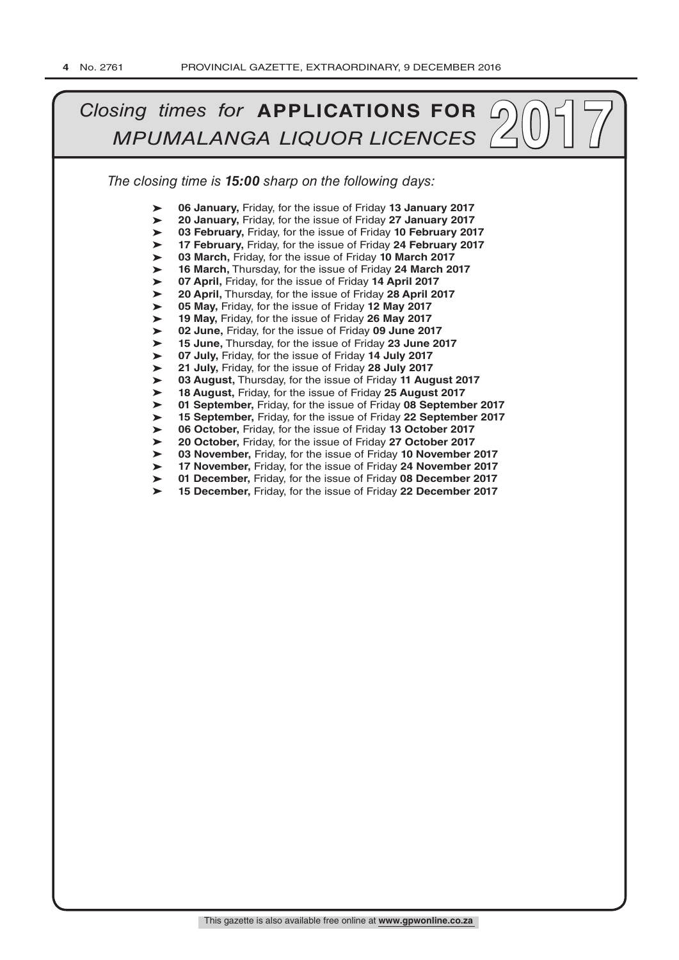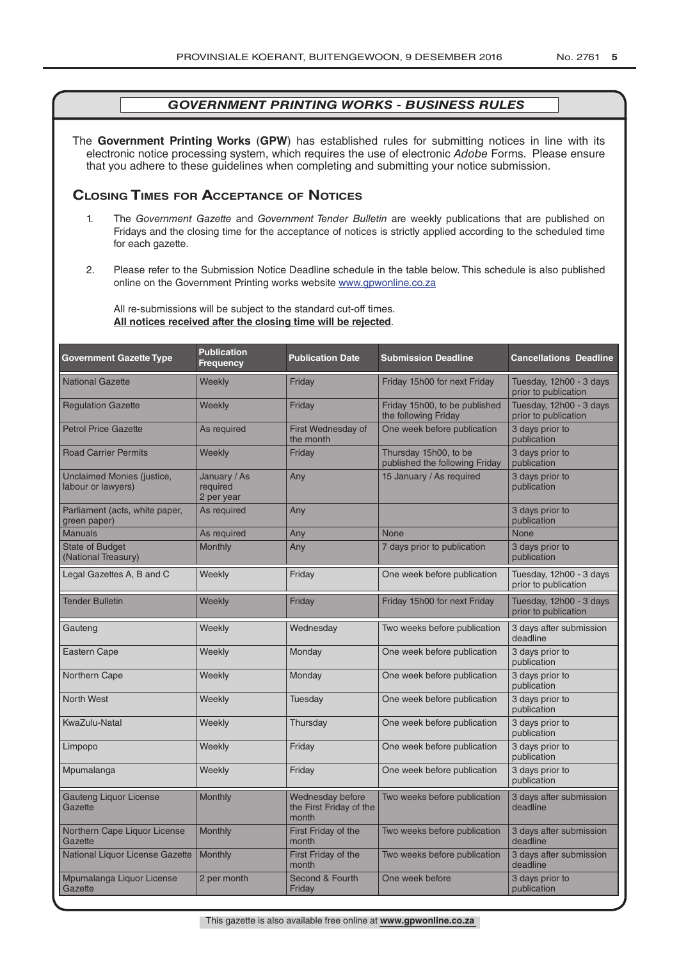The **Government Printing Works** (**GPW**) has established rules for submitting notices in line with its electronic notice processing system, which requires the use of electronic *Adobe* Forms. Please ensure that you adhere to these guidelines when completing and submitting your notice submission.

# **Closing Times for ACCepTAnCe of noTiCes**

- 1. The *Government Gazette* and *Government Tender Bulletin* are weekly publications that are published on Fridays and the closing time for the acceptance of notices is strictly applied according to the scheduled time for each gazette.
- 2. Please refer to the Submission Notice Deadline schedule in the table below. This schedule is also published online on the Government Printing works website www.gpwonline.co.za

All re-submissions will be subject to the standard cut-off times. **All notices received after the closing time will be rejected**.

| <b>Government Gazette Type</b>                   | <b>Publication</b><br>Frequency        | <b>Publication Date</b>                              | <b>Submission Deadline</b>                              | <b>Cancellations Deadline</b>                   |
|--------------------------------------------------|----------------------------------------|------------------------------------------------------|---------------------------------------------------------|-------------------------------------------------|
| <b>National Gazette</b>                          | Weekly                                 | Friday                                               | Friday 15h00 for next Friday                            | Tuesday, 12h00 - 3 days<br>prior to publication |
| <b>Regulation Gazette</b>                        | Weekly                                 | Friday                                               | Friday 15h00, to be published<br>the following Friday   | Tuesday, 12h00 - 3 days<br>prior to publication |
| <b>Petrol Price Gazette</b>                      | As required                            | First Wednesday of<br>the month                      | One week before publication                             | 3 days prior to<br>publication                  |
| <b>Road Carrier Permits</b>                      | Weekly                                 | Friday                                               | Thursday 15h00, to be<br>published the following Friday | 3 days prior to<br>publication                  |
| Unclaimed Monies (justice,<br>labour or lawyers) | January / As<br>required<br>2 per year | Any                                                  | 15 January / As required                                | 3 days prior to<br>publication                  |
| Parliament (acts, white paper,<br>green paper)   | As required                            | Any                                                  |                                                         | 3 days prior to<br>publication                  |
| <b>Manuals</b>                                   | As required                            | Any                                                  | <b>None</b>                                             | <b>None</b>                                     |
| <b>State of Budget</b><br>(National Treasury)    | Monthly                                | Any                                                  | 7 days prior to publication                             | 3 days prior to<br>publication                  |
| Legal Gazettes A, B and C                        | Weekly                                 | Friday                                               | One week before publication                             | Tuesday, 12h00 - 3 days<br>prior to publication |
| <b>Tender Bulletin</b>                           | Weekly                                 | Friday                                               | Friday 15h00 for next Friday                            | Tuesday, 12h00 - 3 days<br>prior to publication |
| Gauteng                                          | Weekly                                 | Wednesday                                            | Two weeks before publication                            | 3 days after submission<br>deadline             |
| <b>Eastern Cape</b>                              | Weekly                                 | Monday                                               | One week before publication                             | 3 days prior to<br>publication                  |
| Northern Cape                                    | Weekly                                 | Monday                                               | One week before publication                             | 3 days prior to<br>publication                  |
| <b>North West</b>                                | Weekly                                 | Tuesday                                              | One week before publication                             | 3 days prior to<br>publication                  |
| KwaZulu-Natal                                    | Weekly                                 | Thursday                                             | One week before publication                             | 3 days prior to<br>publication                  |
| Limpopo                                          | Weekly                                 | Friday                                               | One week before publication                             | 3 days prior to<br>publication                  |
| Mpumalanga                                       | Weekly                                 | Friday                                               | One week before publication                             | 3 days prior to<br>publication                  |
| <b>Gauteng Liquor License</b><br>Gazette         | Monthly                                | Wednesday before<br>the First Friday of the<br>month | Two weeks before publication                            | 3 days after submission<br>deadline             |
| Northern Cape Liquor License<br>Gazette          | Monthly                                | First Friday of the<br>month                         | Two weeks before publication                            | 3 days after submission<br>deadline             |
| National Liquor License Gazette                  | <b>Monthly</b>                         | First Friday of the<br>month                         | Two weeks before publication                            | 3 days after submission<br>deadline             |
| Mpumalanga Liquor License<br>Gazette             | 2 per month                            | Second & Fourth<br>Friday                            | One week before                                         | 3 days prior to<br>publication                  |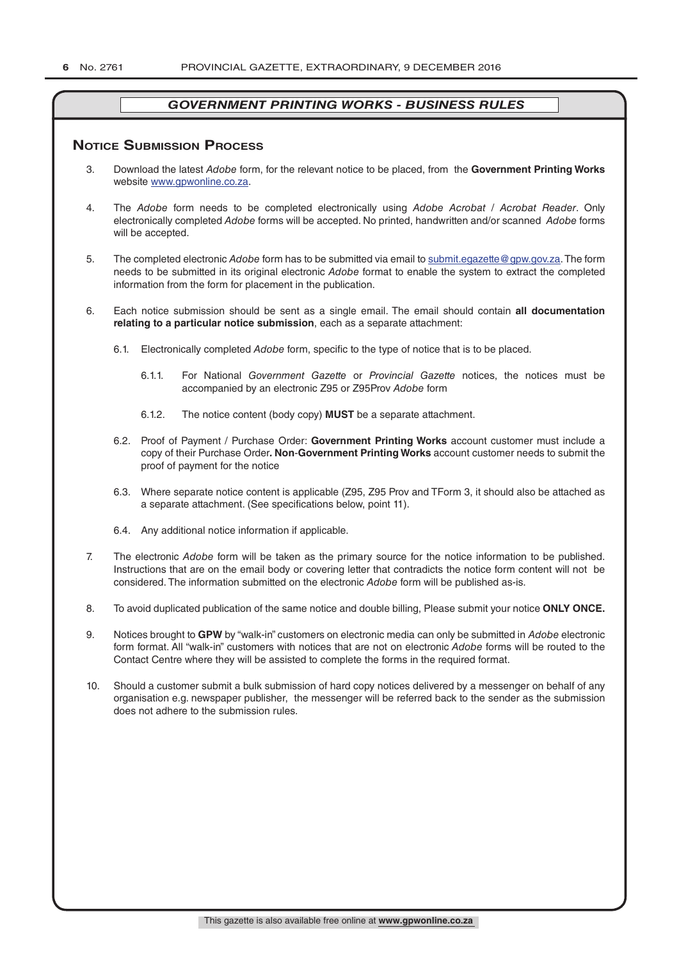### **NOTICE SUBMISSION PROCESS**

- 3. Download the latest *Adobe* form, for the relevant notice to be placed, from the **Government Printing Works** website www.gpwonline.co.za.
- 4. The *Adobe* form needs to be completed electronically using *Adobe Acrobat* / *Acrobat Reader*. Only electronically completed *Adobe* forms will be accepted. No printed, handwritten and/or scanned *Adobe* forms will be accepted.
- 5. The completed electronic *Adobe* form has to be submitted via email to submit.egazette@gpw.gov.za. The form needs to be submitted in its original electronic *Adobe* format to enable the system to extract the completed information from the form for placement in the publication.
- 6. Each notice submission should be sent as a single email. The email should contain **all documentation relating to a particular notice submission**, each as a separate attachment:
	- 6.1. Electronically completed *Adobe* form, specific to the type of notice that is to be placed.
		- 6.1.1. For National *Government Gazette* or *Provincial Gazette* notices, the notices must be accompanied by an electronic Z95 or Z95Prov *Adobe* form
		- 6.1.2. The notice content (body copy) **MUST** be a separate attachment.
	- 6.2. Proof of Payment / Purchase Order: **Government Printing Works** account customer must include a copy of their Purchase Order*.* **Non**-**Government Printing Works** account customer needs to submit the proof of payment for the notice
	- 6.3. Where separate notice content is applicable (Z95, Z95 Prov and TForm 3, it should also be attached as a separate attachment. (See specifications below, point 11).
	- 6.4. Any additional notice information if applicable.
- 7. The electronic *Adobe* form will be taken as the primary source for the notice information to be published. Instructions that are on the email body or covering letter that contradicts the notice form content will not be considered. The information submitted on the electronic *Adobe* form will be published as-is.
- 8. To avoid duplicated publication of the same notice and double billing, Please submit your notice **ONLY ONCE.**
- 9. Notices brought to **GPW** by "walk-in" customers on electronic media can only be submitted in *Adobe* electronic form format. All "walk-in" customers with notices that are not on electronic *Adobe* forms will be routed to the Contact Centre where they will be assisted to complete the forms in the required format.
- 10. Should a customer submit a bulk submission of hard copy notices delivered by a messenger on behalf of any organisation e.g. newspaper publisher, the messenger will be referred back to the sender as the submission does not adhere to the submission rules.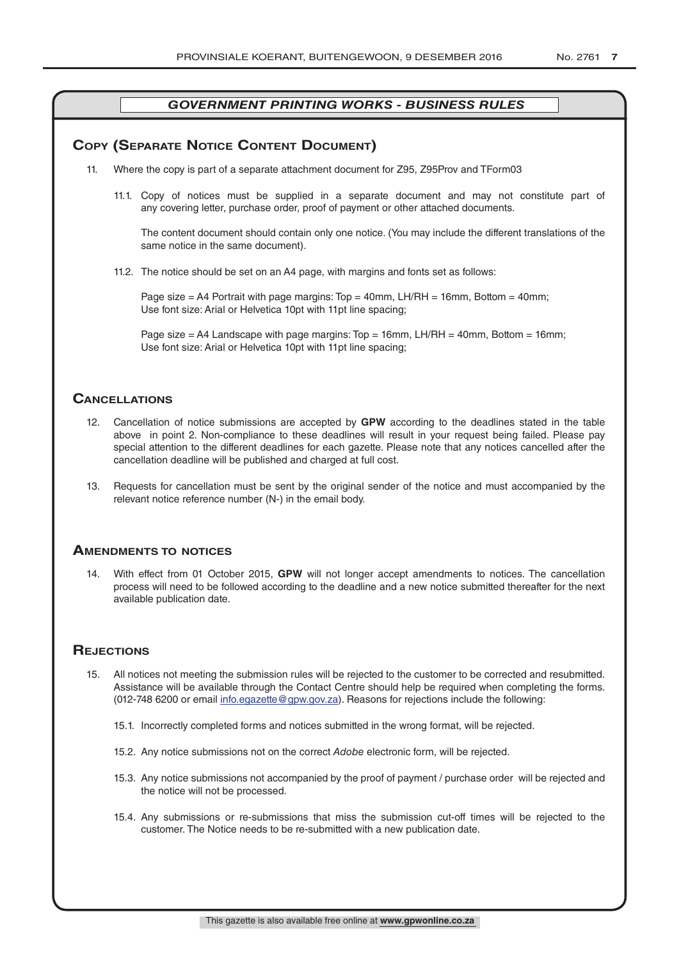# **COPY (SEPARATE NOTICE CONTENT DOCUMENT)**

- 11. Where the copy is part of a separate attachment document for Z95, Z95Prov and TForm03
	- 11.1. Copy of notices must be supplied in a separate document and may not constitute part of any covering letter, purchase order, proof of payment or other attached documents.

The content document should contain only one notice. (You may include the different translations of the same notice in the same document).

11.2. The notice should be set on an A4 page, with margins and fonts set as follows:

Page size  $=$  A4 Portrait with page margins: Top  $=$  40mm, LH/RH  $=$  16mm, Bottom  $=$  40mm; Use font size: Arial or Helvetica 10pt with 11pt line spacing;

Page size = A4 Landscape with page margins: Top = 16mm, LH/RH = 40mm, Bottom = 16mm; Use font size: Arial or Helvetica 10pt with 11pt line spacing;

### **CAnCellATions**

- 12. Cancellation of notice submissions are accepted by **GPW** according to the deadlines stated in the table above in point 2. Non-compliance to these deadlines will result in your request being failed. Please pay special attention to the different deadlines for each gazette. Please note that any notices cancelled after the cancellation deadline will be published and charged at full cost.
- 13. Requests for cancellation must be sent by the original sender of the notice and must accompanied by the relevant notice reference number (N-) in the email body.

#### **AmenDmenTs To noTiCes**

14. With effect from 01 October 2015, **GPW** will not longer accept amendments to notices. The cancellation process will need to be followed according to the deadline and a new notice submitted thereafter for the next available publication date.

# **REJECTIONS**

- 15. All notices not meeting the submission rules will be rejected to the customer to be corrected and resubmitted. Assistance will be available through the Contact Centre should help be required when completing the forms. (012-748 6200 or email info.egazette@gpw.gov.za). Reasons for rejections include the following:
	- 15.1. Incorrectly completed forms and notices submitted in the wrong format, will be rejected.
	- 15.2. Any notice submissions not on the correct *Adobe* electronic form, will be rejected.
	- 15.3. Any notice submissions not accompanied by the proof of payment / purchase order will be rejected and the notice will not be processed.
	- 15.4. Any submissions or re-submissions that miss the submission cut-off times will be rejected to the customer. The Notice needs to be re-submitted with a new publication date.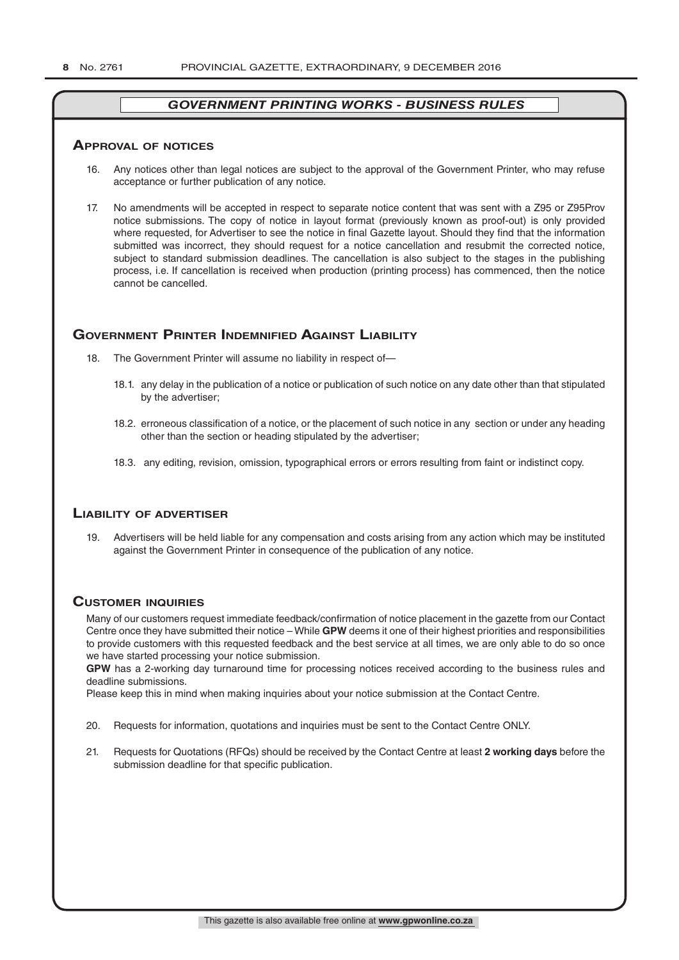#### **ApprovAl of noTiCes**

- 16. Any notices other than legal notices are subject to the approval of the Government Printer, who may refuse acceptance or further publication of any notice.
- 17. No amendments will be accepted in respect to separate notice content that was sent with a Z95 or Z95Prov notice submissions. The copy of notice in layout format (previously known as proof-out) is only provided where requested, for Advertiser to see the notice in final Gazette layout. Should they find that the information submitted was incorrect, they should request for a notice cancellation and resubmit the corrected notice, subject to standard submission deadlines. The cancellation is also subject to the stages in the publishing process, i.e. If cancellation is received when production (printing process) has commenced, then the notice cannot be cancelled.

# **GOVERNMENT PRINTER INDEMNIFIED AGAINST LIABILITY**

- 18. The Government Printer will assume no liability in respect of-
	- 18.1. any delay in the publication of a notice or publication of such notice on any date other than that stipulated by the advertiser;
	- 18.2. erroneous classification of a notice, or the placement of such notice in any section or under any heading other than the section or heading stipulated by the advertiser;
	- 18.3. any editing, revision, omission, typographical errors or errors resulting from faint or indistinct copy.

# **liAbiliTy of ADverTiser**

19. Advertisers will be held liable for any compensation and costs arising from any action which may be instituted against the Government Printer in consequence of the publication of any notice.

# **CusTomer inquiries**

Many of our customers request immediate feedback/confirmation of notice placement in the gazette from our Contact Centre once they have submitted their notice – While **GPW** deems it one of their highest priorities and responsibilities to provide customers with this requested feedback and the best service at all times, we are only able to do so once we have started processing your notice submission.

**GPW** has a 2-working day turnaround time for processing notices received according to the business rules and deadline submissions.

Please keep this in mind when making inquiries about your notice submission at the Contact Centre.

- 20. Requests for information, quotations and inquiries must be sent to the Contact Centre ONLY.
- 21. Requests for Quotations (RFQs) should be received by the Contact Centre at least **2 working days** before the submission deadline for that specific publication.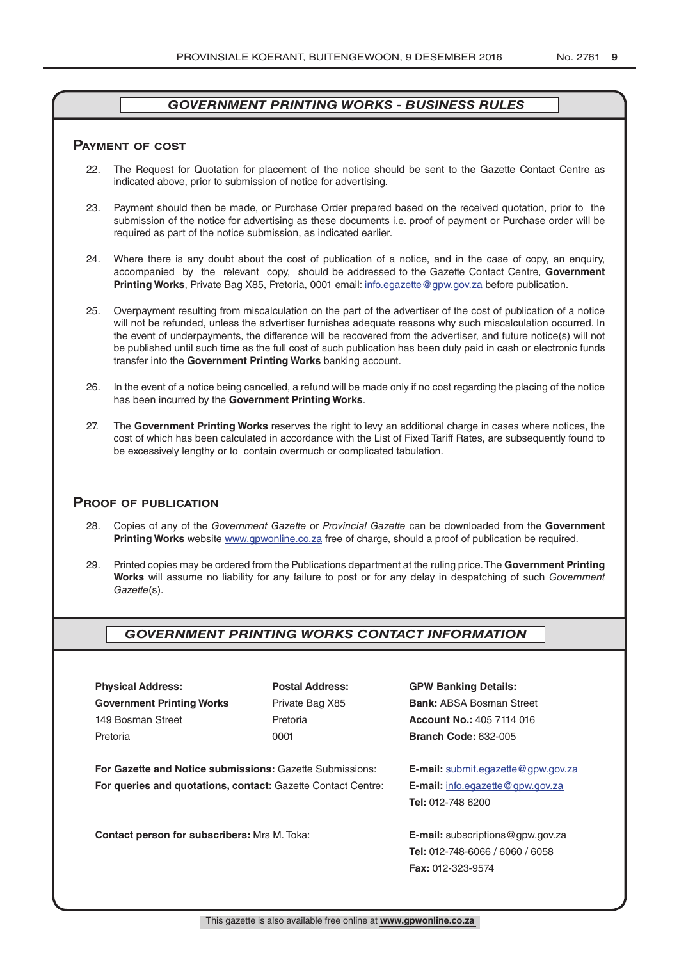#### **pAymenT of CosT**

- 22. The Request for Quotation for placement of the notice should be sent to the Gazette Contact Centre as indicated above, prior to submission of notice for advertising.
- 23. Payment should then be made, or Purchase Order prepared based on the received quotation, prior to the submission of the notice for advertising as these documents i.e. proof of payment or Purchase order will be required as part of the notice submission, as indicated earlier.
- 24. Where there is any doubt about the cost of publication of a notice, and in the case of copy, an enquiry, accompanied by the relevant copy, should be addressed to the Gazette Contact Centre, **Government Printing Works**, Private Bag X85, Pretoria, 0001 email: info.egazette@gpw.gov.za before publication.
- 25. Overpayment resulting from miscalculation on the part of the advertiser of the cost of publication of a notice will not be refunded, unless the advertiser furnishes adequate reasons why such miscalculation occurred. In the event of underpayments, the difference will be recovered from the advertiser, and future notice(s) will not be published until such time as the full cost of such publication has been duly paid in cash or electronic funds transfer into the **Government Printing Works** banking account.
- 26. In the event of a notice being cancelled, a refund will be made only if no cost regarding the placing of the notice has been incurred by the **Government Printing Works**.
- 27. The **Government Printing Works** reserves the right to levy an additional charge in cases where notices, the cost of which has been calculated in accordance with the List of Fixed Tariff Rates, are subsequently found to be excessively lengthy or to contain overmuch or complicated tabulation.

#### **proof of publiCATion**

- 28. Copies of any of the *Government Gazette* or *Provincial Gazette* can be downloaded from the **Government Printing Works** website www.gpwonline.co.za free of charge, should a proof of publication be required.
- 29. Printed copies may be ordered from the Publications department at the ruling price. The **Government Printing Works** will assume no liability for any failure to post or for any delay in despatching of such *Government Gazette*(s).

# *GOVERNMENT PRINTING WORKS CONTACT INFORMATION*

**Physical Address: Postal Address: GPW Banking Details: Government Printing Works** Private Bag X85 **Bank:** ABSA Bosman Street 149 Bosman Street Pretoria **Account No.:** 405 7114 016 Pretoria 0001 **Branch Code:** 632-005

**For Gazette and Notice submissions:** Gazette Submissions: **E-mail:** submit.egazette@gpw.gov.za **For queries and quotations, contact:** Gazette Contact Centre: **E-mail:** info.egazette@gpw.gov.za

**Contact person for subscribers:** Mrs M. Toka: **E-mail:** subscriptions@gpw.gov.za

**Tel:** 012-748 6200

**Tel:** 012-748-6066 / 6060 / 6058 **Fax:** 012-323-9574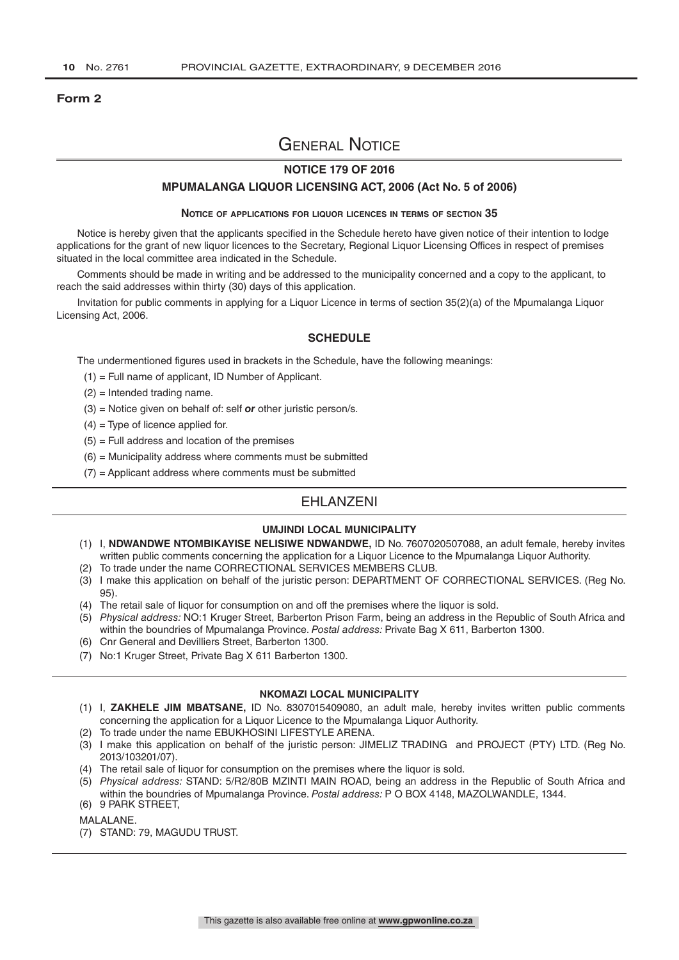#### **Form 2**

# General Notice

### **NOTICE 179 OF 2016**

#### **MPUMALANGA LIQUOR LICENSING ACT, 2006 (Act No. 5 of 2006)**

#### **Notice of applications for liquor licences in terms of section 35**

Notice is hereby given that the applicants specified in the Schedule hereto have given notice of their intention to lodge applications for the grant of new liquor licences to the Secretary, Regional Liquor Licensing Offices in respect of premises situated in the local committee area indicated in the Schedule.

Comments should be made in writing and be addressed to the municipality concerned and a copy to the applicant, to reach the said addresses within thirty (30) days of this application.

Invitation for public comments in applying for a Liquor Licence in terms of section 35(2)(a) of the Mpumalanga Liquor Licensing Act, 2006.

#### **SCHEDULE**

The undermentioned figures used in brackets in the Schedule, have the following meanings:

- (1) = Full name of applicant, ID Number of Applicant.
- (2) = Intended trading name.
- (3) = Notice given on behalf of: self *or* other juristic person/s.
- $(4)$  = Type of licence applied for.
- $(5)$  = Full address and location of the premises
- $(6)$  = Municipality address where comments must be submitted
- $(7)$  = Applicant address where comments must be submitted

# **FHI ANZENI**

#### **UMJINDI LOCAL MUNICIPALITY**

- (1) I, **NDWANDWE NTOMBIKAYISE NELISIWE NDWANDWE,** ID No. 7607020507088, an adult female, hereby invites written public comments concerning the application for a Liquor Licence to the Mpumalanga Liquor Authority.
- (2) To trade under the name CORRECTIONAL SERVICES MEMBERS CLUB.
- (3) I make this application on behalf of the juristic person: DEPARTMENT OF CORRECTIONAL SERVICES. (Reg No. 95).
- (4) The retail sale of liquor for consumption on and off the premises where the liquor is sold.
- (5) *Physical address:* NO:1 Kruger Street, Barberton Prison Farm, being an address in the Republic of South Africa and within the boundries of Mpumalanga Province. *Postal address:* Private Bag X 611, Barberton 1300.
- (6) Cnr General and Devilliers Street, Barberton 1300.
- (7) No:1 Kruger Street, Private Bag X 611 Barberton 1300.

#### **NKOMAZI LOCAL MUNICIPALITY**

- (1) I, **ZAKHELE JIM MBATSANE,** ID No. 8307015409080, an adult male, hereby invites written public comments concerning the application for a Liquor Licence to the Mpumalanga Liquor Authority.
- (2) To trade under the name EBUKHOSINI LIFESTYLE ARENA.
- (3) I make this application on behalf of the juristic person: JIMELIZ TRADING and PROJECT (PTY) LTD. (Reg No. 2013/103201/07).
- (4) The retail sale of liquor for consumption on the premises where the liquor is sold.
- (5) *Physical address:* STAND: 5/R2/80B MZINTI MAIN ROAD, being an address in the Republic of South Africa and within the boundries of Mpumalanga Province. *Postal address:* P O BOX 4148, MAZOLWANDLE, 1344.
- (6) 9 PARK STREET,
- MALALANE.
- (7) STAND: 79, MAGUDU TRUST.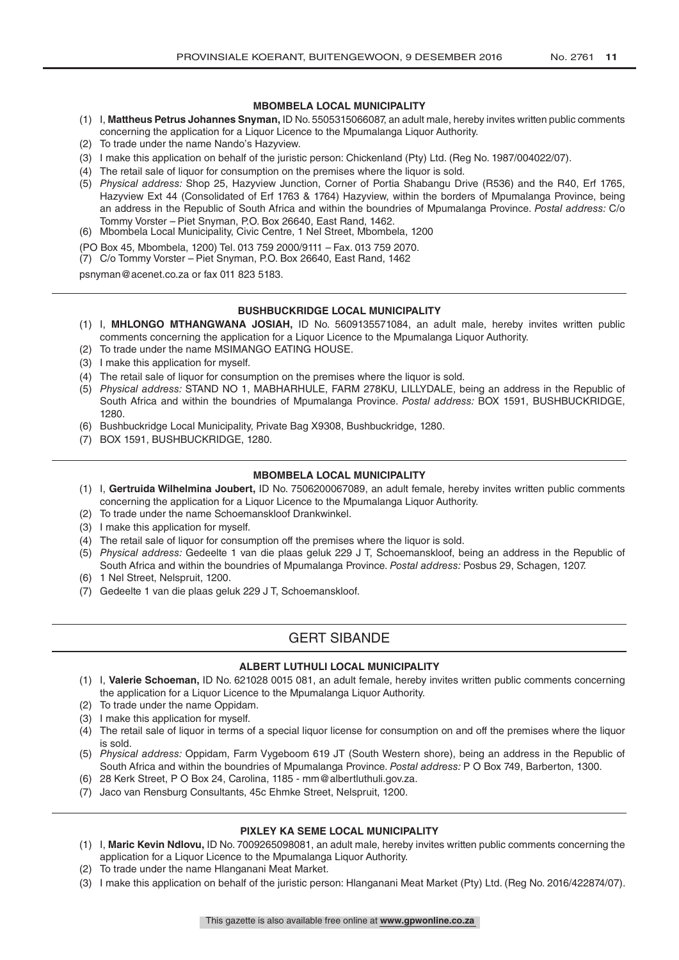#### **MBOMBELA LOCAL MUNICIPALITY**

- (1) I, **Mattheus Petrus Johannes Snyman,** ID No. 5505315066087, an adult male, hereby invites written public comments concerning the application for a Liquor Licence to the Mpumalanga Liquor Authority.
- (2) To trade under the name Nando's Hazyview.
- (3) I make this application on behalf of the juristic person: Chickenland (Pty) Ltd. (Reg No. 1987/004022/07).
- (4) The retail sale of liquor for consumption on the premises where the liquor is sold.
- (5) *Physical address:* Shop 25, Hazyview Junction, Corner of Portia Shabangu Drive (R536) and the R40, Erf 1765, Hazyview Ext 44 (Consolidated of Erf 1763 & 1764) Hazyview, within the borders of Mpumalanga Province, being an address in the Republic of South Africa and within the boundries of Mpumalanga Province. *Postal address:* C/o Tommy Vorster – Piet Snyman, P.O. Box 26640, East Rand, 1462.
- (6) Mbombela Local Municipality, Civic Centre, 1 Nel Street, Mbombela, 1200
- (PO Box 45, Mbombela, 1200) Tel. 013 759 2000/9111 Fax. 013 759 2070.
- (7) C/o Tommy Vorster Piet Snyman, P.O. Box 26640, East Rand, 1462

psnyman@acenet.co.za or fax 011 823 5183.

#### **BUSHBUCKRIDGE LOCAL MUNICIPALITY**

- (1) I, **MHLONGO MTHANGWANA JOSIAH,** ID No. 5609135571084, an adult male, hereby invites written public comments concerning the application for a Liquor Licence to the Mpumalanga Liquor Authority.
- (2) To trade under the name MSIMANGO EATING HOUSE.
- (3) I make this application for myself.
- (4) The retail sale of liquor for consumption on the premises where the liquor is sold.
- (5) *Physical address:* STAND NO 1, MABHARHULE, FARM 278KU, LILLYDALE, being an address in the Republic of South Africa and within the boundries of Mpumalanga Province. *Postal address:* BOX 1591, BUSHBUCKRIDGE, 1280.
- (6) Bushbuckridge Local Municipality, Private Bag X9308, Bushbuckridge, 1280.
- (7) BOX 1591, BUSHBUCKRIDGE, 1280.

#### **MBOMBELA LOCAL MUNICIPALITY**

- (1) I, **Gertruida Wilhelmina Joubert,** ID No. 7506200067089, an adult female, hereby invites written public comments concerning the application for a Liquor Licence to the Mpumalanga Liquor Authority.
- (2) To trade under the name Schoemanskloof Drankwinkel.
- (3) I make this application for myself.
- (4) The retail sale of liquor for consumption off the premises where the liquor is sold.
- (5) *Physical address:* Gedeelte 1 van die plaas geluk 229 J T, Schoemanskloof, being an address in the Republic of South Africa and within the boundries of Mpumalanga Province. *Postal address:* Posbus 29, Schagen, 1207.
- (6) 1 Nel Street, Nelspruit, 1200.
- (7) Gedeelte 1 van die plaas geluk 229 J T, Schoemanskloof.

# GERT SIBANDE

#### **ALBERT LUTHULI LOCAL MUNICIPALITY**

- (1) I, **Valerie Schoeman,** ID No. 621028 0015 081, an adult female, hereby invites written public comments concerning the application for a Liquor Licence to the Mpumalanga Liquor Authority.
- (2) To trade under the name Oppidam.
- (3) I make this application for myself.
- (4) The retail sale of liquor in terms of a special liquor license for consumption on and off the premises where the liquor is sold.
- (5) *Physical address:* Oppidam, Farm Vygeboom 619 JT (South Western shore), being an address in the Republic of South Africa and within the boundries of Mpumalanga Province. *Postal address:* P O Box 749, Barberton, 1300.
- (6) 28 Kerk Street, P O Box 24, Carolina, 1185 mm@albertluthuli.gov.za.
- (7) Jaco van Rensburg Consultants, 45c Ehmke Street, Nelspruit, 1200.

#### **PIXLEY KA SEME LOCAL MUNICIPALITY**

- (1) I, **Maric Kevin Ndlovu,** ID No. 7009265098081, an adult male, hereby invites written public comments concerning the application for a Liquor Licence to the Mpumalanga Liquor Authority.
- (2) To trade under the name Hlanganani Meat Market.
- (3) I make this application on behalf of the juristic person: Hlanganani Meat Market (Pty) Ltd. (Reg No. 2016/422874/07).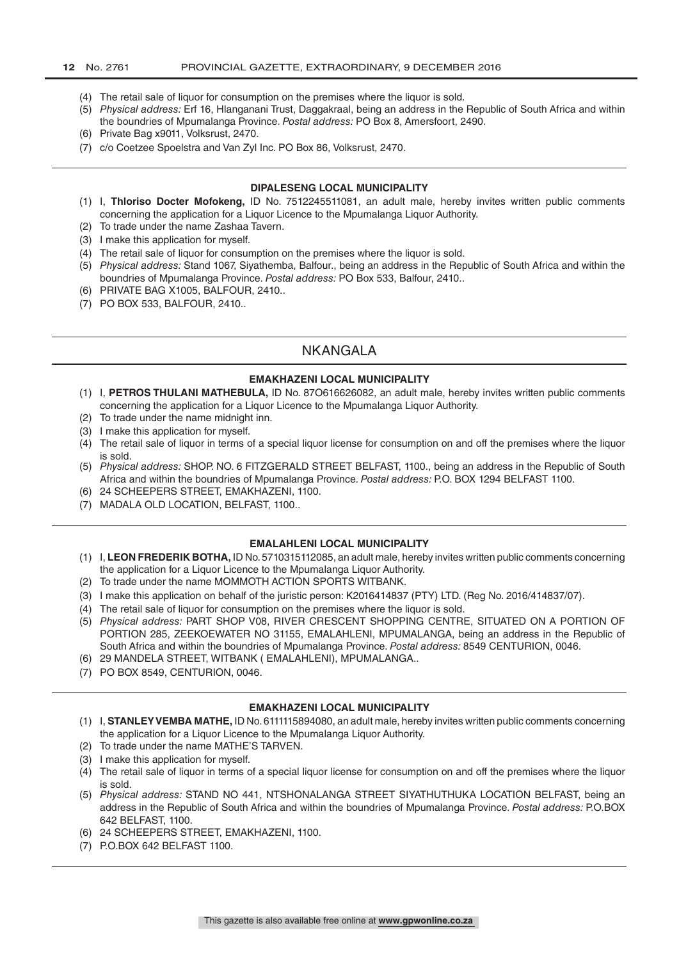- (4) The retail sale of liquor for consumption on the premises where the liquor is sold.
- (5) *Physical address:* Erf 16, Hlanganani Trust, Daggakraal, being an address in the Republic of South Africa and within the boundries of Mpumalanga Province. *Postal address:* PO Box 8, Amersfoort, 2490.
- (6) Private Bag x9011, Volksrust, 2470.
- (7) c/o Coetzee Spoelstra and Van Zyl Inc. PO Box 86, Volksrust, 2470.

#### **DIPALESENG LOCAL MUNICIPALITY**

- (1) I, **Thloriso Docter Mofokeng,** ID No. 7512245511081, an adult male, hereby invites written public comments concerning the application for a Liquor Licence to the Mpumalanga Liquor Authority.
- (2) To trade under the name Zashaa Tavern.
- (3) I make this application for myself.
- (4) The retail sale of liquor for consumption on the premises where the liquor is sold.
- (5) *Physical address:* Stand 1067, Siyathemba, Balfour., being an address in the Republic of South Africa and within the boundries of Mpumalanga Province. *Postal address:* PO Box 533, Balfour, 2410..
- (6) PRIVATE BAG X1005, BALFOUR, 2410..
- (7) PO BOX 533, BALFOUR, 2410..

# NKANGALA

#### **EMAKHAZENI LOCAL MUNICIPALITY**

- (1) I, **PETROS THULANI MATHEBULA,** ID No. 87O616626082, an adult male, hereby invites written public comments concerning the application for a Liquor Licence to the Mpumalanga Liquor Authority.
- (2) To trade under the name midnight inn.
- (3) I make this application for myself.
- (4) The retail sale of liquor in terms of a special liquor license for consumption on and off the premises where the liquor is sold.
- (5) *Physical address:* SHOP. NO. 6 FITZGERALD STREET BELFAST, 1100., being an address in the Republic of South Africa and within the boundries of Mpumalanga Province. *Postal address:* P.O. BOX 1294 BELFAST 1100.
- (6) 24 SCHEEPERS STREET, EMAKHAZENI, 1100.
- (7) MADALA OLD LOCATION, BELFAST, 1100..

#### **EMALAHLENI LOCAL MUNICIPALITY**

- (1) I, **LEON FREDERIK BOTHA,** ID No. 5710315112085, an adult male, hereby invites written public comments concerning the application for a Liquor Licence to the Mpumalanga Liquor Authority.
- (2) To trade under the name MOMMOTH ACTION SPORTS WITBANK.
- (3) I make this application on behalf of the juristic person: K2016414837 (PTY) LTD. (Reg No. 2016/414837/07).
- (4) The retail sale of liquor for consumption on the premises where the liquor is sold.
- (5) *Physical address:* PART SHOP V08, RIVER CRESCENT SHOPPING CENTRE, SITUATED ON A PORTION OF PORTION 285, ZEEKOEWATER NO 31155, EMALAHLENI, MPUMALANGA, being an address in the Republic of South Africa and within the boundries of Mpumalanga Province. *Postal address:* 8549 CENTURION, 0046.
- (6) 29 MANDELA STREET, WITBANK ( EMALAHLENI), MPUMALANGA..
- (7) PO BOX 8549, CENTURION, 0046.

#### **EMAKHAZENI LOCAL MUNICIPALITY**

- (1) I, **STANLEY VEMBA MATHE,** ID No. 6111115894080, an adult male, hereby invites written public comments concerning the application for a Liquor Licence to the Mpumalanga Liquor Authority.
- (2) To trade under the name MATHE'S TARVEN.
- (3) I make this application for myself.
- (4) The retail sale of liquor in terms of a special liquor license for consumption on and off the premises where the liquor is sold.
- (5) *Physical address:* STAND NO 441, NTSHONALANGA STREET SIYATHUTHUKA LOCATION BELFAST, being an address in the Republic of South Africa and within the boundries of Mpumalanga Province. *Postal address:* P.O.BOX 642 BELFAST, 1100.
- (6) 24 SCHEEPERS STREET, EMAKHAZENI, 1100.
- (7) P.O.BOX 642 BELFAST 1100.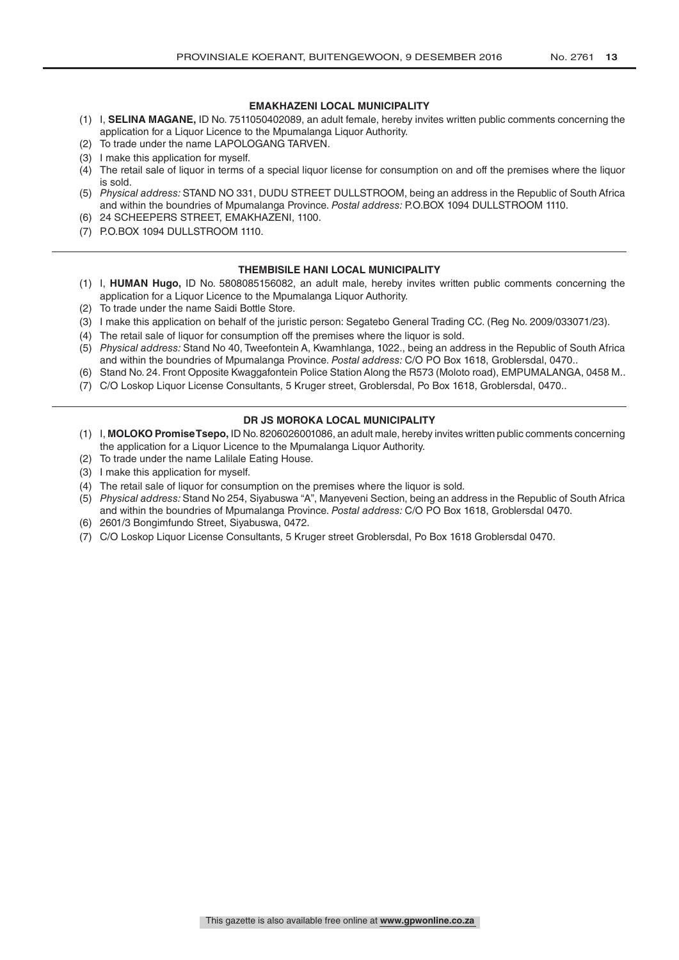#### **EMAKHAZENI LOCAL MUNICIPALITY**

- (1) I, **SELINA MAGANE,** ID No. 7511050402089, an adult female, hereby invites written public comments concerning the application for a Liquor Licence to the Mpumalanga Liquor Authority.
- (2) To trade under the name LAPOLOGANG TARVEN.
- (3) I make this application for myself.
- (4) The retail sale of liquor in terms of a special liquor license for consumption on and off the premises where the liquor is sold.
- (5) *Physical address:* STAND NO 331, DUDU STREET DULLSTROOM, being an address in the Republic of South Africa and within the boundries of Mpumalanga Province. *Postal address:* P.O.BOX 1094 DULLSTROOM 1110.
- (6) 24 SCHEEPERS STREET, EMAKHAZENI, 1100.
- (7) P.O.BOX 1094 DULLSTROOM 1110.

#### **THEMBISILE HANI LOCAL MUNICIPALITY**

- (1) I, **HUMAN Hugo,** ID No. 5808085156082, an adult male, hereby invites written public comments concerning the application for a Liquor Licence to the Mpumalanga Liquor Authority.
- (2) To trade under the name Saidi Bottle Store.
- (3) I make this application on behalf of the juristic person: Segatebo General Trading CC. (Reg No. 2009/033071/23).
- (4) The retail sale of liquor for consumption off the premises where the liquor is sold.
- (5) *Physical address:* Stand No 40, Tweefontein A, Kwamhlanga, 1022., being an address in the Republic of South Africa and within the boundries of Mpumalanga Province. *Postal address:* C/O PO Box 1618, Groblersdal, 0470..
- (6) Stand No. 24. Front Opposite Kwaggafontein Police Station Along the R573 (Moloto road), EMPUMALANGA, 0458 M..
- (7) C/O Loskop Liquor License Consultants, 5 Kruger street, Groblersdal, Po Box 1618, Groblersdal, 0470..

#### **DR JS MOROKA LOCAL MUNICIPALITY**

- (1) I, **MOLOKO Promise Tsepo,** ID No. 8206026001086, an adult male, hereby invites written public comments concerning the application for a Liquor Licence to the Mpumalanga Liquor Authority.
- (2) To trade under the name Lalilale Eating House.
- (3) I make this application for myself.
- (4) The retail sale of liquor for consumption on the premises where the liquor is sold.
- (5) *Physical address:* Stand No 254, Siyabuswa "A", Manyeveni Section, being an address in the Republic of South Africa and within the boundries of Mpumalanga Province. *Postal address:* C/O PO Box 1618, Groblersdal 0470.
- (6) 2601/3 Bongimfundo Street, Siyabuswa, 0472.
- (7) C/O Loskop Liquor License Consultants, 5 Kruger street Groblersdal, Po Box 1618 Groblersdal 0470.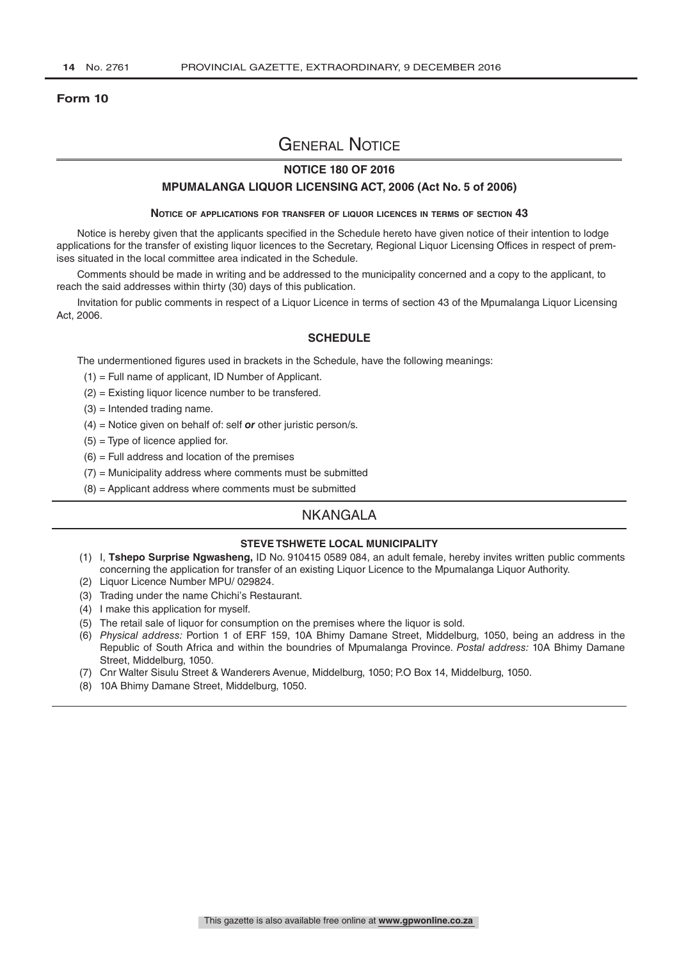#### **Form 10**

# General Notice

### **NOTICE 180 OF 2016**

#### **MPUMALANGA LIQUOR LICENSING ACT, 2006 (Act No. 5 of 2006)**

#### **Notice of applications for transfer of liquor licences in terms of section 43**

Notice is hereby given that the applicants specified in the Schedule hereto have given notice of their intention to lodge applications for the transfer of existing liquor licences to the Secretary, Regional Liquor Licensing Offices in respect of premises situated in the local committee area indicated in the Schedule.

Comments should be made in writing and be addressed to the municipality concerned and a copy to the applicant, to reach the said addresses within thirty (30) days of this publication.

Invitation for public comments in respect of a Liquor Licence in terms of section 43 of the Mpumalanga Liquor Licensing Act, 2006.

#### **SCHEDULE**

The undermentioned figures used in brackets in the Schedule, have the following meanings:

- (1) = Full name of applicant, ID Number of Applicant.
- (2) = Existing liquor licence number to be transfered.
- $(3)$  = Intended trading name.
- (4) = Notice given on behalf of: self *or* other juristic person/s.
- $(5)$  = Type of licence applied for.
- $(6)$  = Full address and location of the premises
- (7) = Municipality address where comments must be submitted
- (8) = Applicant address where comments must be submitted

### NKANGALA

### **STEVE TSHWETE LOCAL MUNICIPALITY**

- (1) I, **Tshepo Surprise Ngwasheng,** ID No. 910415 0589 084, an adult female, hereby invites written public comments concerning the application for transfer of an existing Liquor Licence to the Mpumalanga Liquor Authority.
- (2) Liquor Licence Number MPU/ 029824.
- (3) Trading under the name Chichi's Restaurant.
- (4) I make this application for myself.
- (5) The retail sale of liquor for consumption on the premises where the liquor is sold.
- (6) *Physical address:* Portion 1 of ERF 159, 10A Bhimy Damane Street, Middelburg, 1050, being an address in the Republic of South Africa and within the boundries of Mpumalanga Province. *Postal address:* 10A Bhimy Damane Street, Middelburg, 1050.
- (7) Cnr Walter Sisulu Street & Wanderers Avenue, Middelburg, 1050; P.O Box 14, Middelburg, 1050.
- (8) 10A Bhimy Damane Street, Middelburg, 1050.